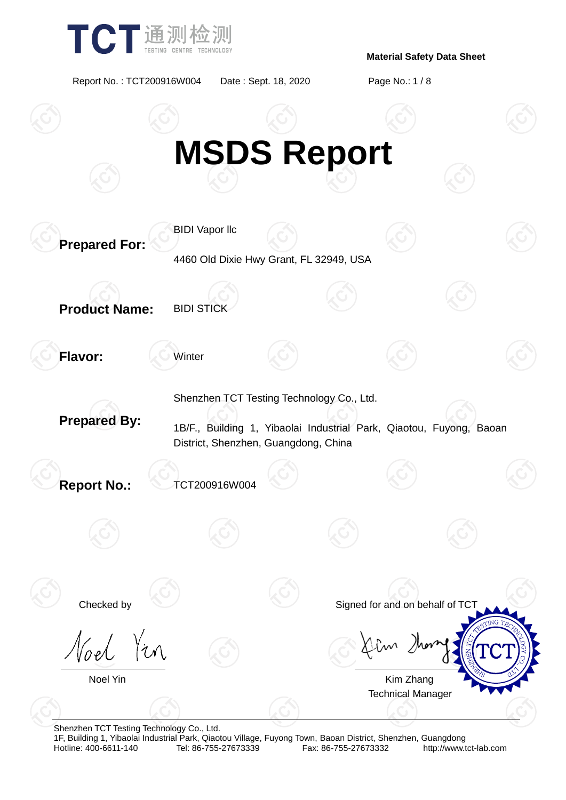

Report No. : TCT200916W004 Date : Sept. 18, 2020 Page No.: 1 / 8



Shenzhen TCT Testing Technology Co., Ltd.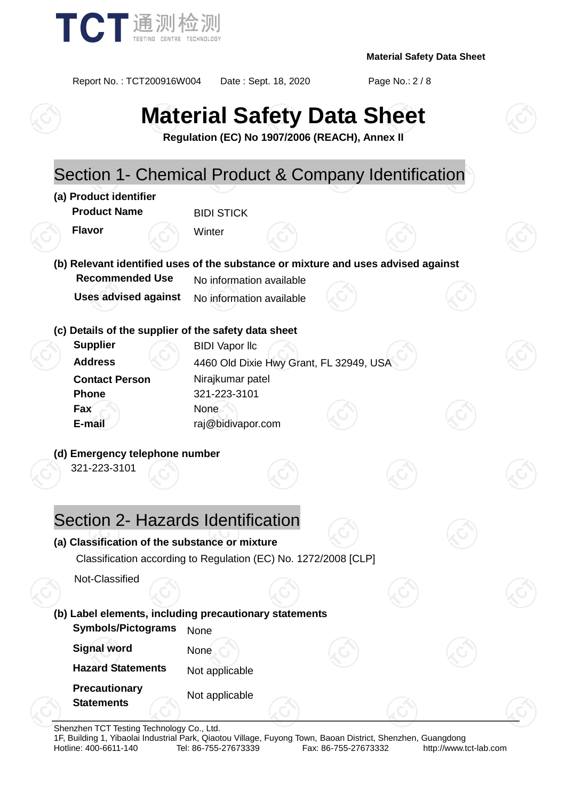

Report No. : TCT200916W004 Date : Sept. 18, 2020 Page No.: 2 / 8

# **Material Safety Data Sheet**

**Regulation (EC) No 1907/2006 (REACH), Annex II**

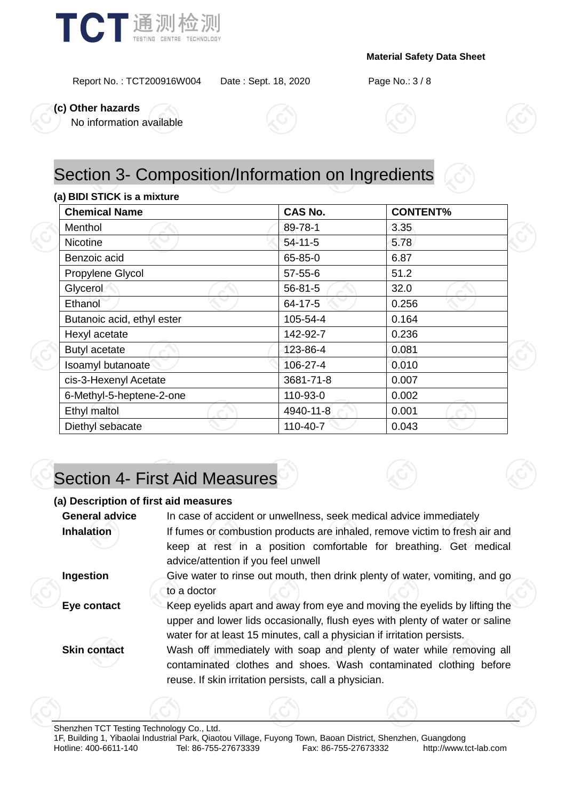

Report No. : TCT200916W004 Date : Sept. 18, 2020 Page No.: 3 / 8

**(c) Other hazards**

No information available



# Section 3- Composition/Information on Ingredients

#### **(a) BIDI STICK is a mixture**

| <b>Chemical Name</b>       | <b>CAS No.</b> | <b>CONTENT%</b> |  |
|----------------------------|----------------|-----------------|--|
| Menthol                    | 89-78-1        | 3.35            |  |
| <b>Nicotine</b>            | $54-11-5$      | 5.78            |  |
| Benzoic acid               | 65-85-0        | 6.87            |  |
| Propylene Glycol           | $57 - 55 - 6$  | 51.2            |  |
| Glycerol                   | $56 - 81 - 5$  | 32.0            |  |
| Ethanol                    | 64-17-5        | 0.256           |  |
| Butanoic acid, ethyl ester | 105-54-4       | 0.164           |  |
| Hexyl acetate              | 142-92-7       | 0.236           |  |
| <b>Butyl acetate</b>       | 123-86-4       | 0.081           |  |
| Isoamyl butanoate          | 106-27-4       | 0.010           |  |
| cis-3-Hexenyl Acetate      | 3681-71-8      | 0.007           |  |
| 6-Methyl-5-heptene-2-one   | 110-93-0       | 0.002           |  |
| Ethyl maltol               | 4940-11-8      | 0.001           |  |
| Diethyl sebacate           | 110-40-7       | 0.043           |  |

# Section 4- First Aid Measures

#### **(a) Description of first aid measures**

| <b>General advice</b> | In case of accident or unwellness, seek medical advice immediately                                                                                                                                                                    |
|-----------------------|---------------------------------------------------------------------------------------------------------------------------------------------------------------------------------------------------------------------------------------|
| <b>Inhalation</b>     | If fumes or combustion products are inhaled, remove victim to fresh air and<br>keep at rest in a position comfortable for breathing. Get medical<br>advice/attention if you feel unwell                                               |
| Ingestion             | Give water to rinse out mouth, then drink plenty of water, vomiting, and go<br>to a doctor                                                                                                                                            |
| Eye contact           | Keep eyelids apart and away from eye and moving the eyelids by lifting the<br>upper and lower lids occasionally, flush eyes with plenty of water or saline<br>water for at least 15 minutes, call a physician if irritation persists. |
| <b>Skin contact</b>   | Wash off immediately with soap and plenty of water while removing all<br>contaminated clothes and shoes. Wash contaminated clothing before<br>reuse. If skin irritation persists, call a physician.                                   |
|                       |                                                                                                                                                                                                                                       |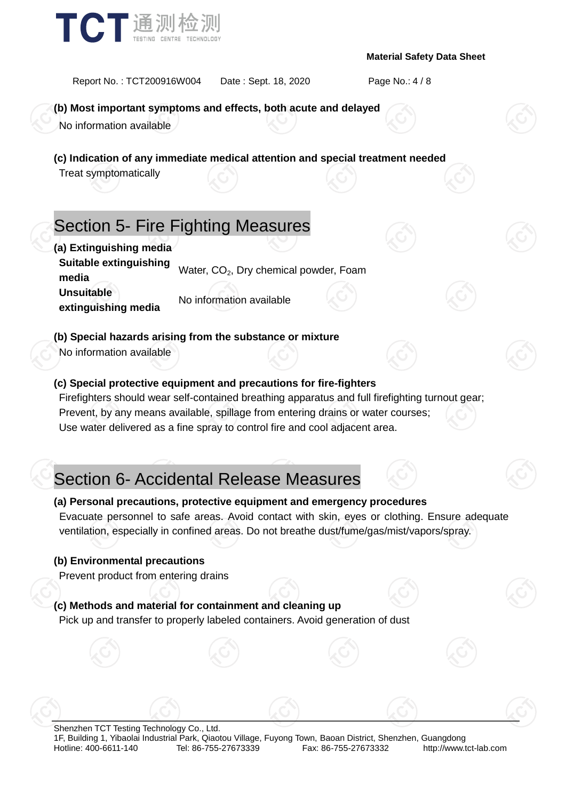

Report No. : TCT200916W004 Date : Sept. 18, 2020 Page No.: 4 / 8

### **(b) Most important symptoms and effects, both acute and delayed**

No information available

**(c) Indication of any immediate medical attention and special treatment needed**

Treat symptomatically

# Section 5- Fire Fighting Measures

**(a) Extinguishing media Suitable extinguishing bundance cxangershing** Water, CO<sub>2</sub>, Dry chemical powder, Foam **Unsuitable extinguishing media** No information available

### **(b) Special hazards arising from the substance or mixture**

No information available

### **(c) Special protective equipment and precautions for fire-fighters**

Firefighters should wear self-contained breathing apparatus and full firefighting turnout gear; Prevent, by any means available, spillage from entering drains or water courses; Use water delivered as a fine spray to control fire and cool adjacent area.

# Section 6- Accidental Release Measures

### **(a) Personal precautions, protective equipment and emergency procedures**

Evacuate personnel to safe areas. Avoid contact with skin, eyes or clothing. Ensure adequate ventilation, especially in confined areas. Do not breathe dust/fume/gas/mist/vapors/spray.

#### **(b) Environmental precautions**

Prevent product from entering drains

### **(c) Methods and material for containment and cleaning up**

Pick up and transfer to properly labeled containers. Avoid generation of dust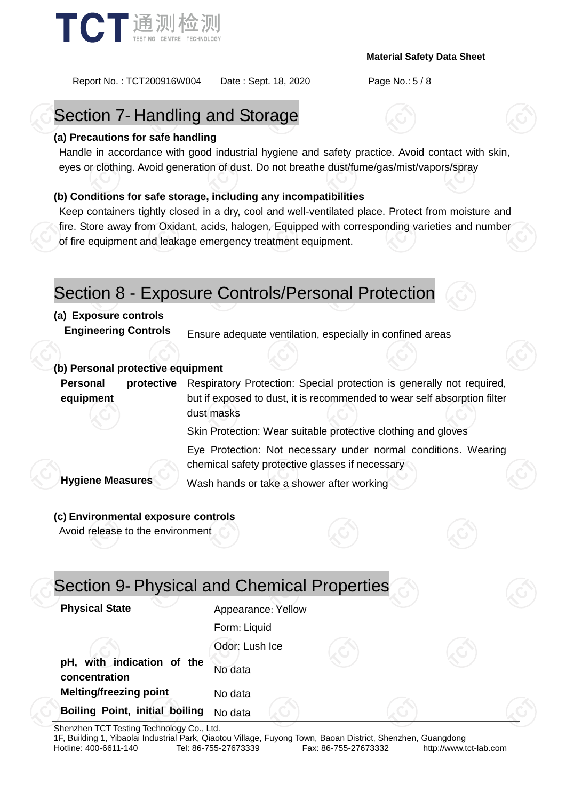

Report No. : TCT200916W004 Date : Sept. 18, 2020 Page No.: 5 / 8

# Section 7- Handling and Storage

### **(a) Precautions for safe handling**

Handle in accordance with good industrial hygiene and safety practice. Avoid contact with skin, eyes or clothing. Avoid generation of dust. Do not breathe dust/fume/gas/mist/vapors/spray

### **(b) Conditions for safe storage, including any incompatibilities**

Keep containers tightly closed in a dry, cool and well-ventilated place. Protect from moisture and fire. Store away from Oxidant, acids, halogen, Equipped with corresponding varieties and number of fire equipment and leakage emergency treatment equipment.

### Section 8 - Exposure Controls/Personal Protection

### **(a) Exposure controls**

**Engineering Controls** Ensure adequate ventilation, especially in confined areas

### **(b) Personal protective equipment**

**Personal protective equipment** Respiratory Protection: Special protection is generally not required, but if exposed to dust, it is recommended to wear self absorption filter dust masks

Skin Protection: Wear suitable protective clothing and gloves

Eye Protection: Not necessary under normal conditions. Wearing chemical safety protective glasses if necessary

**Hygiene Measures** Wash hands or take a shower after working

### **(c) Environmental exposure controls**

Avoid release to the environment

| Section 9- Physical and Chemical Properties |                    |  |  |
|---------------------------------------------|--------------------|--|--|
| <b>Physical State</b>                       | Appearance: Yellow |  |  |
|                                             | Form: Liquid       |  |  |
|                                             | Odor: Lush Ice     |  |  |
| pH, with indication of the<br>concentration | No data            |  |  |
| <b>Melting/freezing point</b>               | No data            |  |  |
| Boiling Point, initial boiling              | No data            |  |  |

Shenzhen TCT Testing Technology Co., Ltd.

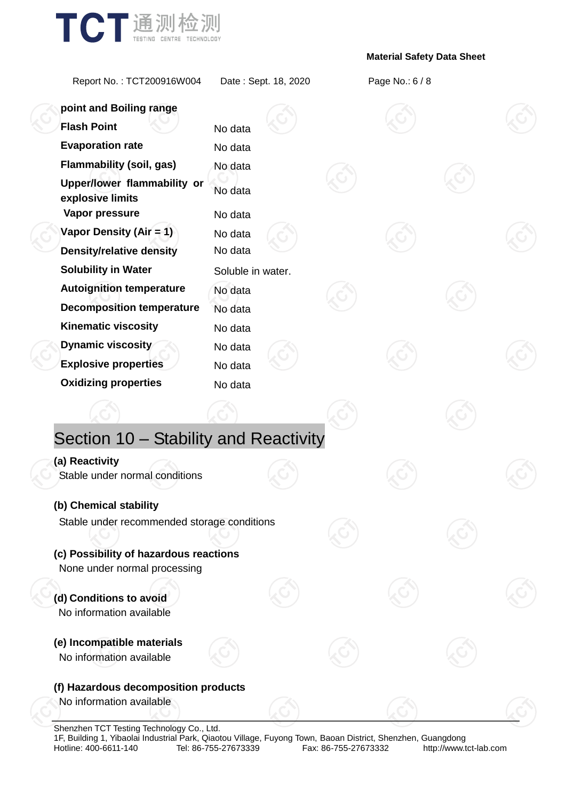

Report No. : TCT200916W004 Date : Sept. 18, 2020 Page No.: 6 / 8

| point and Boiling range                                                |                    |  |  |  |
|------------------------------------------------------------------------|--------------------|--|--|--|
| <b>Flash Point</b>                                                     | No data            |  |  |  |
| <b>Evaporation rate</b>                                                | No data            |  |  |  |
| <b>Flammability (soil, gas)</b>                                        | No data            |  |  |  |
| Upper/lower flammability or<br>explosive limits<br>Vapor pressure      | No data            |  |  |  |
| Vapor Density (Air = 1)                                                | No data            |  |  |  |
| <b>Density/relative density</b>                                        | No data<br>No data |  |  |  |
| <b>Solubility in Water</b>                                             |                    |  |  |  |
|                                                                        | Soluble in water.  |  |  |  |
| <b>Autoignition temperature</b>                                        | No data            |  |  |  |
| <b>Decomposition temperature</b><br><b>Kinematic viscosity</b>         | No data            |  |  |  |
|                                                                        | No data            |  |  |  |
| <b>Dynamic viscosity</b>                                               | No data            |  |  |  |
| <b>Explosive properties</b>                                            | No data            |  |  |  |
| <b>Oxidizing properties</b>                                            | No data            |  |  |  |
|                                                                        |                    |  |  |  |
| Section 10 - Stability and Reactivity                                  |                    |  |  |  |
| (a) Reactivity                                                         |                    |  |  |  |
| Stable under normal conditions                                         |                    |  |  |  |
| (b) Chemical stability                                                 |                    |  |  |  |
| Stable under recommended storage conditions                            |                    |  |  |  |
|                                                                        |                    |  |  |  |
| (c) Possibility of hazardous reactions<br>None under normal processing |                    |  |  |  |
|                                                                        |                    |  |  |  |
| (d) Conditions to avoid<br>No information available                    |                    |  |  |  |
| (e) Incompatible materials                                             |                    |  |  |  |
| No information available                                               |                    |  |  |  |
| (f) Hazardous decomposition products                                   |                    |  |  |  |
| No information available                                               |                    |  |  |  |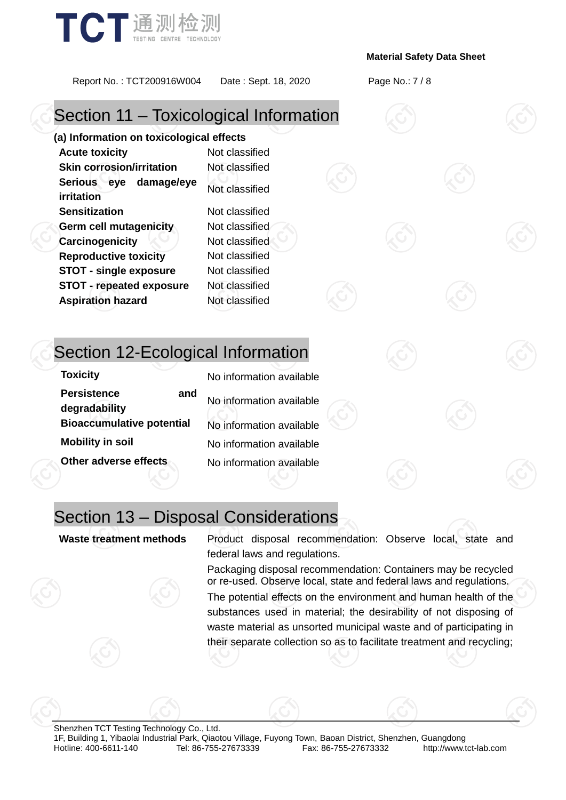

Report No. : TCT200916W004 Date : Sept. 18, 2020 Page No.: 7 / 8

# Section 11 – Toxicological Information

**(a) Information on toxicological effects Acute toxicity** Not classified **Skin corrosion/irritation** Not classified **Serious eye damage/eye irritation** Not classified **Sensitization** Not classified **Germ cell mutagenicity** Not classified **Carcinogenicity Not classified Reproductive toxicity** Not classified **STOT - single exposure** Not classified **STOT - repeated exposure** Not classified **Aspiration hazard** Not classified

## Section 12-Ecological Information

| <b>Toxicity</b>                            | No information available |
|--------------------------------------------|--------------------------|
| <b>Persistence</b><br>and<br>degradability | No information available |
| <b>Bioaccumulative potential</b>           | No information available |
| <b>Mobility in soil</b>                    | No information available |
| Other adverse effects                      | No information available |

## Section 13 – Disposal Considerations

**Waste treatment methods** Product disposal recommendation: Observe local, state and federal laws and regulations.

> Packaging disposal recommendation: Containers may be recycled or re-used. Observe local, state and federal laws and regulations.

> The potential effects on the environment and human health of the substances used in material; the desirability of not disposing of waste material as unsorted municipal waste and of participating in their separate collection so as to facilitate treatment and recycling;

Shenzhen TCT Testing Technology Co., Ltd. 1F, Building 1, Yibaolai Industrial Park, Qiaotou Village, Fuyong Town, Baoan District, Shenzhen, Guangdong http://www.tct-lab.com